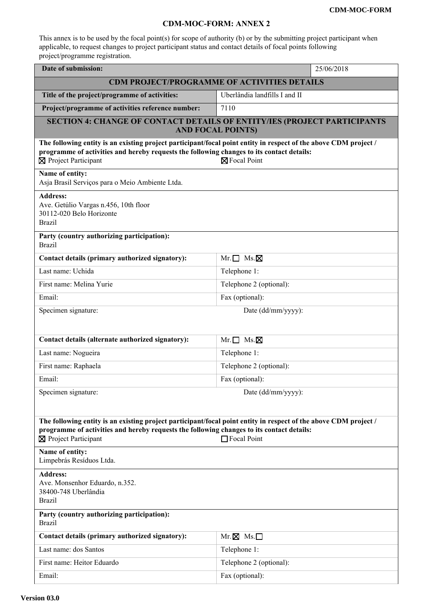## **CDM-MOC-FORM: ANNEX 2**

This annex is to be used by the focal point(s) for scope of authority (b) or by the submitting project participant when applicable, to request changes to project participant status and contact details of focal points following project/programme registration.

| Date of submission:                                                                                                                                                                                                                                   | 25/06/2018                    |  |
|-------------------------------------------------------------------------------------------------------------------------------------------------------------------------------------------------------------------------------------------------------|-------------------------------|--|
| <b>CDM PROJECT/PROGRAMME OF ACTIVITIES DETAILS</b>                                                                                                                                                                                                    |                               |  |
| Title of the project/programme of activities:                                                                                                                                                                                                         | Uberlândia landfills I and II |  |
| Project/programme of activities reference number:                                                                                                                                                                                                     | 7110                          |  |
| SECTION 4: CHANGE OF CONTACT DETAILS OF ENTITY/IES (PROJECT PARTICIPANTS<br><b>AND FOCAL POINTS)</b>                                                                                                                                                  |                               |  |
| The following entity is an existing project participant/focal point entity in respect of the above CDM project /<br>programme of activities and hereby requests the following changes to its contact details:<br>⊠ Project Participant                | ⊠ Focal Point                 |  |
| Name of entity:<br>Asja Brasil Serviços para o Meio Ambiente Ltda.                                                                                                                                                                                    |                               |  |
| <b>Address:</b><br>Ave. Getúlio Vargas n.456, 10th floor<br>30112-020 Belo Horizonte<br><b>Brazil</b>                                                                                                                                                 |                               |  |
| Party (country authorizing participation):<br><b>Brazil</b>                                                                                                                                                                                           |                               |  |
| Contact details (primary authorized signatory):                                                                                                                                                                                                       | $Mr.\Box$ Ms. $\boxtimes$     |  |
| Last name: Uchida                                                                                                                                                                                                                                     | Telephone 1:                  |  |
| First name: Melina Yurie                                                                                                                                                                                                                              | Telephone 2 (optional):       |  |
| Email:                                                                                                                                                                                                                                                | Fax (optional):               |  |
| Specimen signature:                                                                                                                                                                                                                                   | Date (dd/mm/yyyy):            |  |
|                                                                                                                                                                                                                                                       |                               |  |
| Contact details (alternate authorized signatory):                                                                                                                                                                                                     | $Mr.\Box$ Ms. $\boxtimes$     |  |
| Last name: Nogueira                                                                                                                                                                                                                                   | Telephone 1:                  |  |
| First name: Raphaela                                                                                                                                                                                                                                  | Telephone 2 (optional):       |  |
| Email:                                                                                                                                                                                                                                                | Fax (optional):               |  |
| Specimen signature:                                                                                                                                                                                                                                   | Date (dd/mm/yyyy):            |  |
|                                                                                                                                                                                                                                                       |                               |  |
| The following entity is an existing project participant/focal point entity in respect of the above CDM project /<br>programme of activities and hereby requests the following changes to its contact details:<br>⊠ Project Participant<br>Focal Point |                               |  |
| Name of entity:<br>Limpebrás Resíduos Ltda.                                                                                                                                                                                                           |                               |  |
| <b>Address:</b><br>Ave. Monsenhor Eduardo, n.352.<br>38400-748 Uberlândia<br><b>Brazil</b>                                                                                                                                                            |                               |  |
| Party (country authorizing participation):<br><b>Brazil</b>                                                                                                                                                                                           |                               |  |
| Contact details (primary authorized signatory):                                                                                                                                                                                                       | $Mr. \boxtimes Ms. \Box$      |  |
| Last name: dos Santos                                                                                                                                                                                                                                 | Telephone 1:                  |  |
| First name: Heitor Eduardo                                                                                                                                                                                                                            | Telephone 2 (optional):       |  |
| Email:                                                                                                                                                                                                                                                | Fax (optional):               |  |